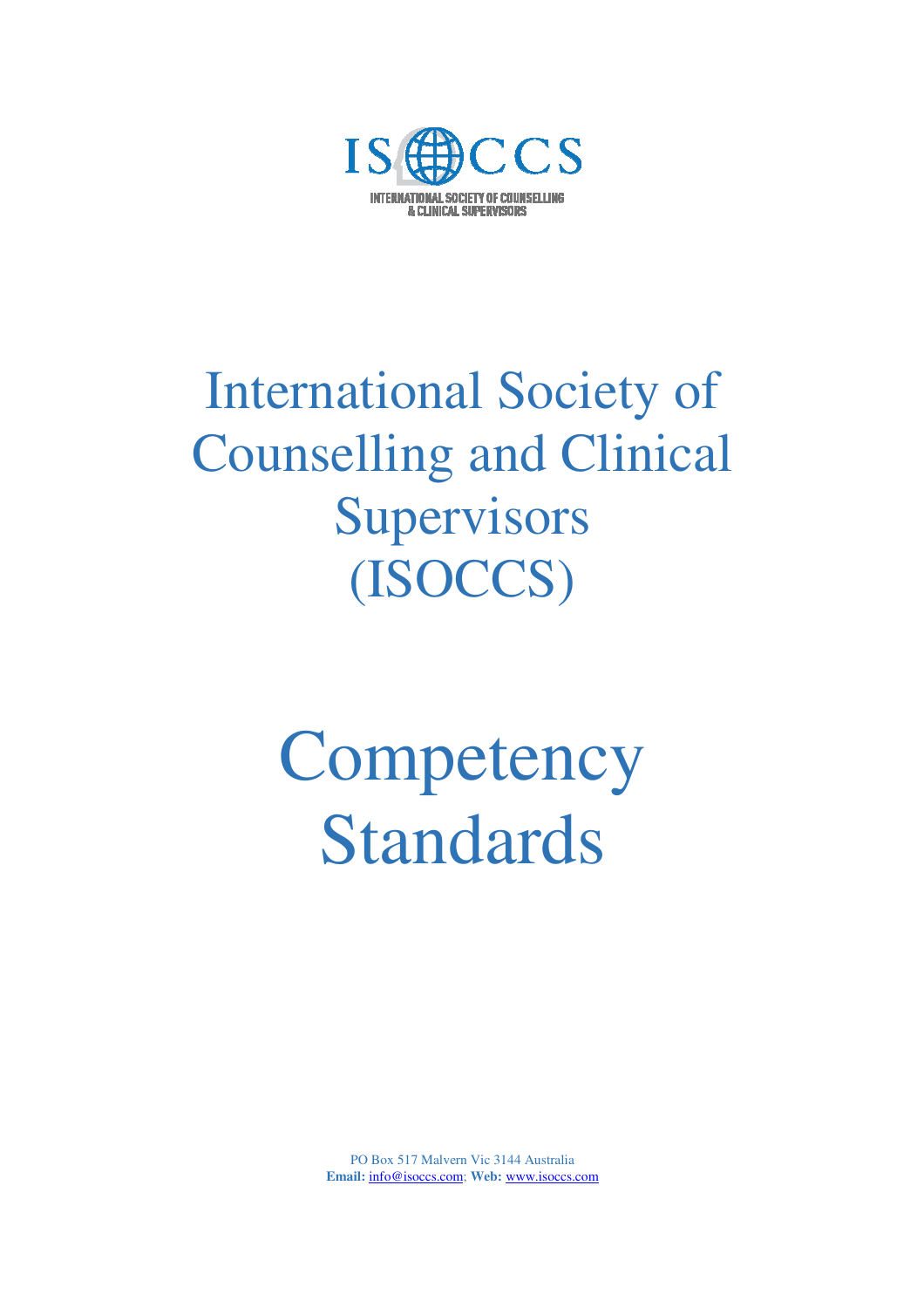

## International Society of Counselling and Clinical **Supervisors** (ISOCCS)

# **Competency** Standards

PO Box 517 Malvern Vic 3144 Australia **Email:** info@isoccs.com; **Web:** www.isoccs.com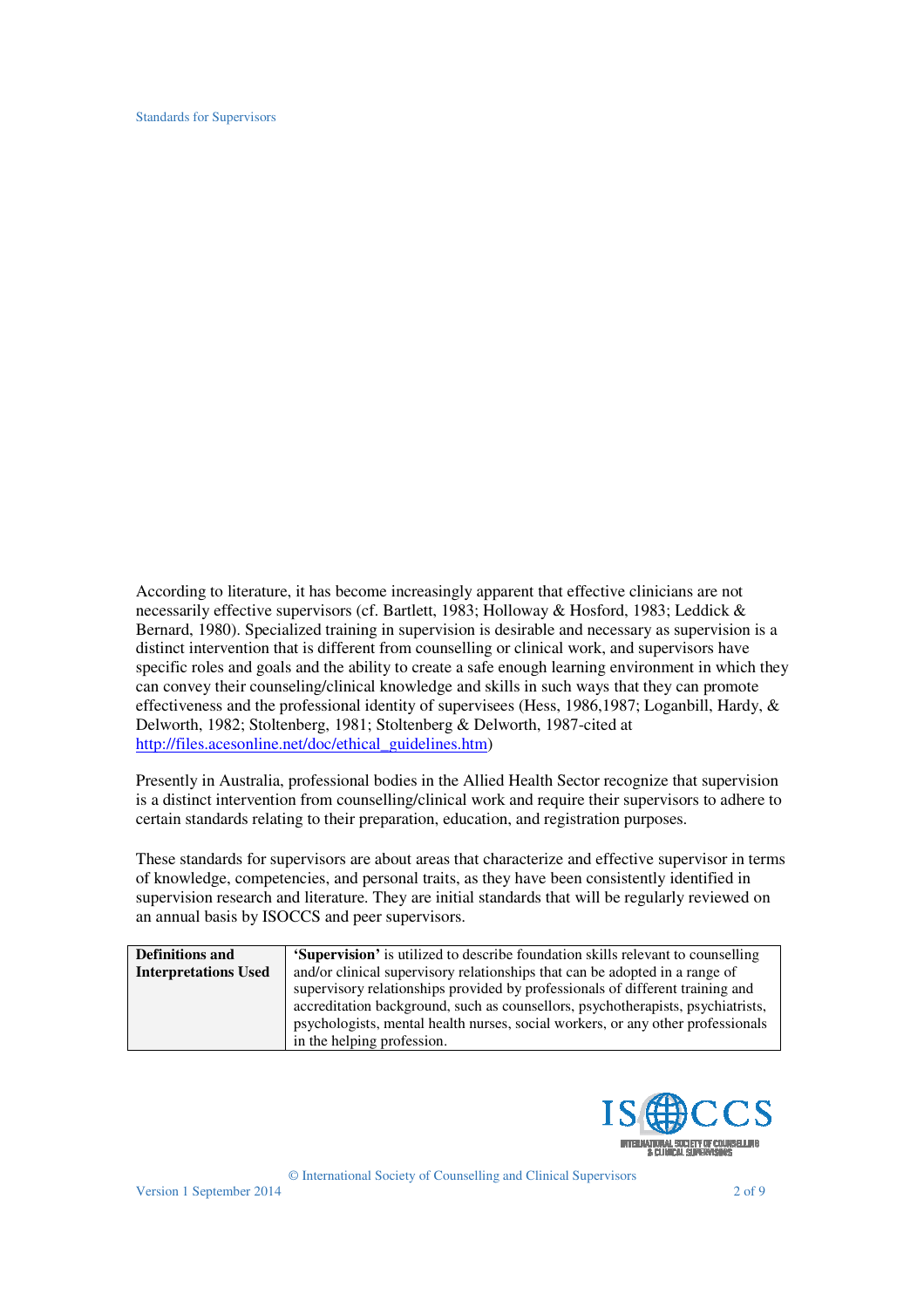Standards for Supervisors

According to literature, it has become increasingly apparent that effective clinicians are not necessarily effective supervisors (cf. Bartlett, 1983; Holloway & Hosford, 1983; Leddick & Bernard, 1980). Specialized training in supervision is desirable and necessary as supervision is a distinct intervention that is different from counselling or clinical work, and supervisors have specific roles and goals and the ability to create a safe enough learning environment in which they can convey their counseling/clinical knowledge and skills in such ways that they can promote effectiveness and the professional identity of supervisees (Hess, 1986,1987; Loganbill, Hardy, & Delworth, 1982; Stoltenberg, 1981; Stoltenberg & Delworth, 1987-cited at http://files.acesonline.net/doc/ethical\_guidelines.htm)

Presently in Australia, professional bodies in the Allied Health Sector recognize that supervision is a distinct intervention from counselling/clinical work and require their supervisors to adhere to certain standards relating to their preparation, education, and registration purposes.

These standards for supervisors are about areas that characterize and effective supervisor in terms of knowledge, competencies, and personal traits, as they have been consistently identified in supervision research and literature. They are initial standards that will be regularly reviewed on an annual basis by ISOCCS and peer supervisors.

| <b>Definitions and</b>      | <b>'Supervision'</b> is utilized to describe foundation skills relevant to counselling |
|-----------------------------|----------------------------------------------------------------------------------------|
| <b>Interpretations Used</b> | and/or clinical supervisory relationships that can be adopted in a range of            |
|                             | supervisory relationships provided by professionals of different training and          |
|                             | accreditation background, such as counsellors, psychotherapists, psychiatrists,        |
|                             | psychologists, mental health nurses, social workers, or any other professionals        |
|                             | in the helping profession.                                                             |

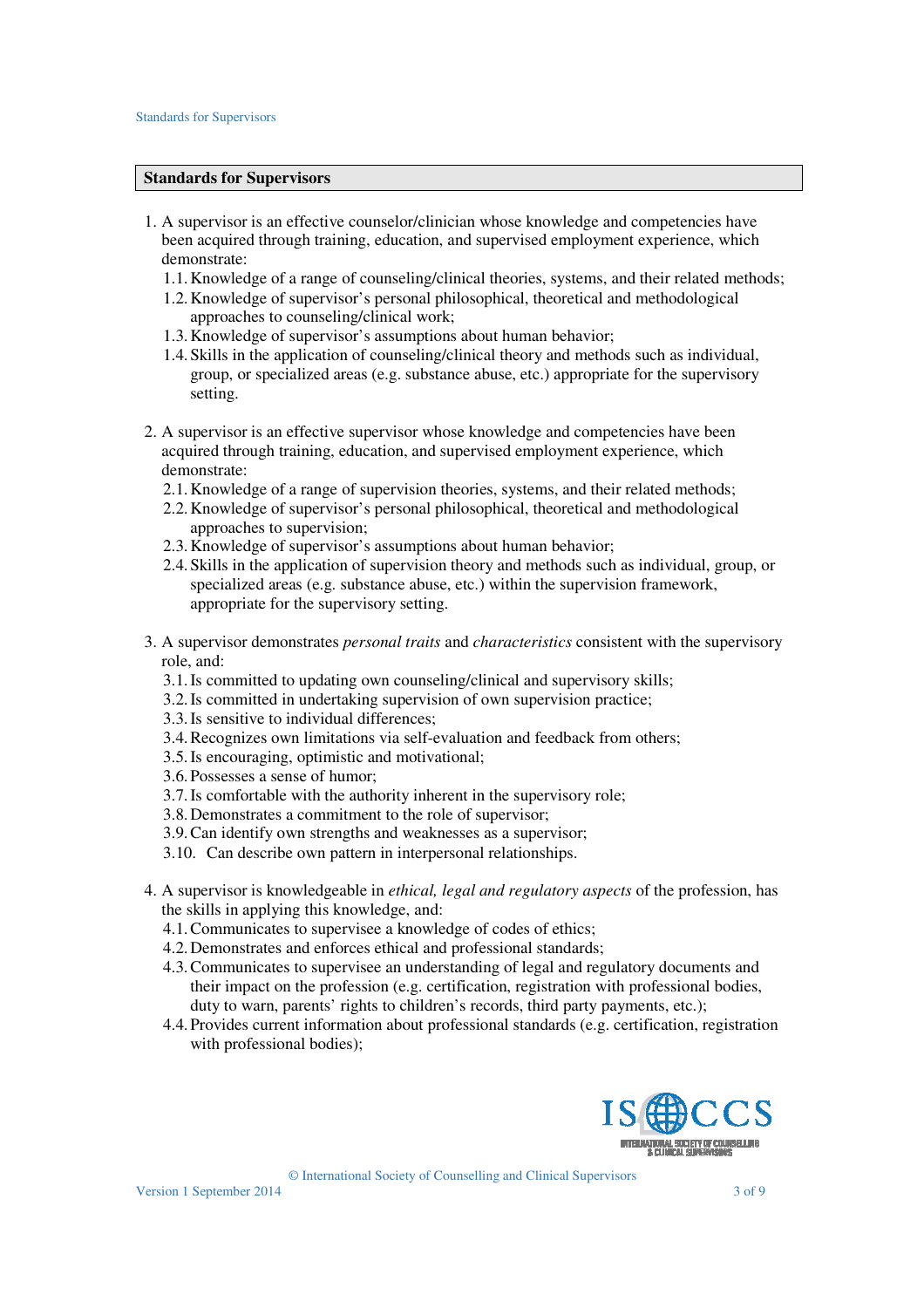#### **Standards for Supervisors**

- 1. A supervisor is an effective counselor/clinician whose knowledge and competencies have been acquired through training, education, and supervised employment experience, which demonstrate:
	- 1.1.Knowledge of a range of counseling/clinical theories, systems, and their related methods;
	- 1.2.Knowledge of supervisor's personal philosophical, theoretical and methodological approaches to counseling/clinical work;
	- 1.3.Knowledge of supervisor's assumptions about human behavior;
	- 1.4.Skills in the application of counseling/clinical theory and methods such as individual, group, or specialized areas (e.g. substance abuse, etc.) appropriate for the supervisory setting.
- 2. A supervisor is an effective supervisor whose knowledge and competencies have been acquired through training, education, and supervised employment experience, which demonstrate:
	- 2.1.Knowledge of a range of supervision theories, systems, and their related methods;
	- 2.2.Knowledge of supervisor's personal philosophical, theoretical and methodological approaches to supervision;
	- 2.3.Knowledge of supervisor's assumptions about human behavior;
	- 2.4.Skills in the application of supervision theory and methods such as individual, group, or specialized areas (e.g. substance abuse, etc.) within the supervision framework, appropriate for the supervisory setting.
- 3. A supervisor demonstrates *personal traits* and *characteristics* consistent with the supervisory role, and:
	- 3.1.Is committed to updating own counseling/clinical and supervisory skills;
	- 3.2.Is committed in undertaking supervision of own supervision practice;
	- 3.3.Is sensitive to individual differences;
	- 3.4.Recognizes own limitations via self-evaluation and feedback from others;
	- 3.5.Is encouraging, optimistic and motivational;
	- 3.6.Possesses a sense of humor;
	- 3.7.Is comfortable with the authority inherent in the supervisory role;
	- 3.8.Demonstrates a commitment to the role of supervisor;
	- 3.9.Can identify own strengths and weaknesses as a supervisor;
	- 3.10. Can describe own pattern in interpersonal relationships.
- 4. A supervisor is knowledgeable in *ethical, legal and regulatory aspects* of the profession, has the skills in applying this knowledge, and:
	- 4.1.Communicates to supervisee a knowledge of codes of ethics;
	- 4.2.Demonstrates and enforces ethical and professional standards;
	- 4.3.Communicates to supervisee an understanding of legal and regulatory documents and their impact on the profession (e.g. certification, registration with professional bodies, duty to warn, parents' rights to children's records, third party payments, etc.);
	- 4.4.Provides current information about professional standards (e.g. certification, registration with professional bodies);

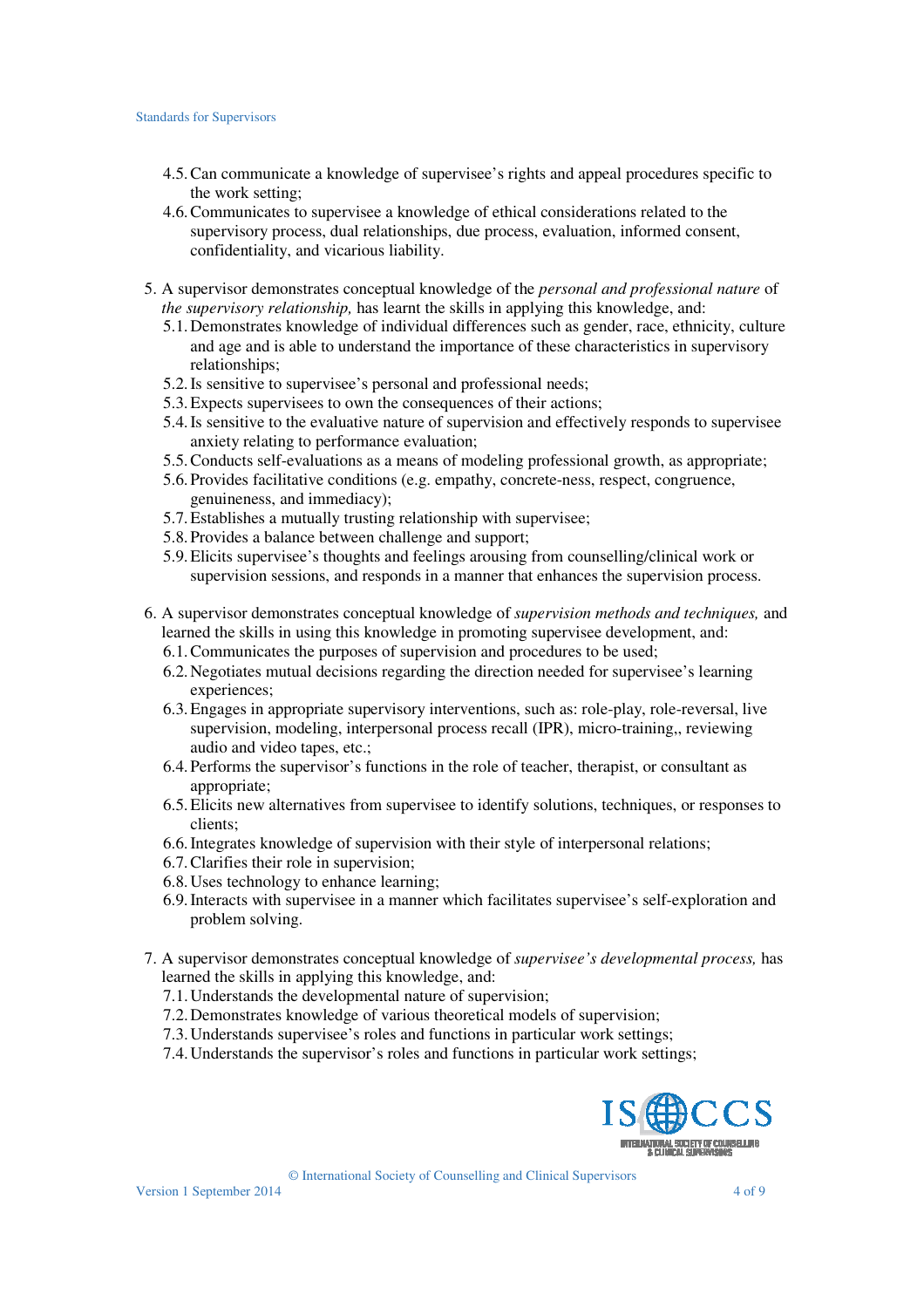#### Standards for Supervisors

- 4.5.Can communicate a knowledge of supervisee's rights and appeal procedures specific to the work setting;
- 4.6.Communicates to supervisee a knowledge of ethical considerations related to the supervisory process, dual relationships, due process, evaluation, informed consent, confidentiality, and vicarious liability.
- 5. A supervisor demonstrates conceptual knowledge of the *personal and professional nature* of *the supervisory relationship,* has learnt the skills in applying this knowledge, and:
	- 5.1.Demonstrates knowledge of individual differences such as gender, race, ethnicity, culture and age and is able to understand the importance of these characteristics in supervisory relationships;
	- 5.2.Is sensitive to supervisee's personal and professional needs;
	- 5.3.Expects supervisees to own the consequences of their actions;
	- 5.4.Is sensitive to the evaluative nature of supervision and effectively responds to supervisee anxiety relating to performance evaluation;
	- 5.5.Conducts self-evaluations as a means of modeling professional growth, as appropriate;
	- 5.6.Provides facilitative conditions (e.g. empathy, concrete-ness, respect, congruence, genuineness, and immediacy);
	- 5.7.Establishes a mutually trusting relationship with supervisee;
	- 5.8.Provides a balance between challenge and support;
	- 5.9.Elicits supervisee's thoughts and feelings arousing from counselling/clinical work or supervision sessions, and responds in a manner that enhances the supervision process.
- 6. A supervisor demonstrates conceptual knowledge of *supervision methods and techniques,* and learned the skills in using this knowledge in promoting supervisee development, and:
	- 6.1.Communicates the purposes of supervision and procedures to be used;
	- 6.2.Negotiates mutual decisions regarding the direction needed for supervisee's learning experiences:
	- 6.3.Engages in appropriate supervisory interventions, such as: role-play, role-reversal, live supervision, modeling, interpersonal process recall (IPR), micro-training,, reviewing audio and video tapes, etc.;
	- 6.4.Performs the supervisor's functions in the role of teacher, therapist, or consultant as appropriate;
	- 6.5.Elicits new alternatives from supervisee to identify solutions, techniques, or responses to clients;
	- 6.6.Integrates knowledge of supervision with their style of interpersonal relations;
	- 6.7.Clarifies their role in supervision;
	- 6.8.Uses technology to enhance learning;
	- 6.9.Interacts with supervisee in a manner which facilitates supervisee's self-exploration and problem solving.
- 7. A supervisor demonstrates conceptual knowledge of *supervisee's developmental process,* has learned the skills in applying this knowledge, and:
	- 7.1.Understands the developmental nature of supervision;
	- 7.2.Demonstrates knowledge of various theoretical models of supervision;
	- 7.3.Understands supervisee's roles and functions in particular work settings;
	- 7.4.Understands the supervisor's roles and functions in particular work settings;

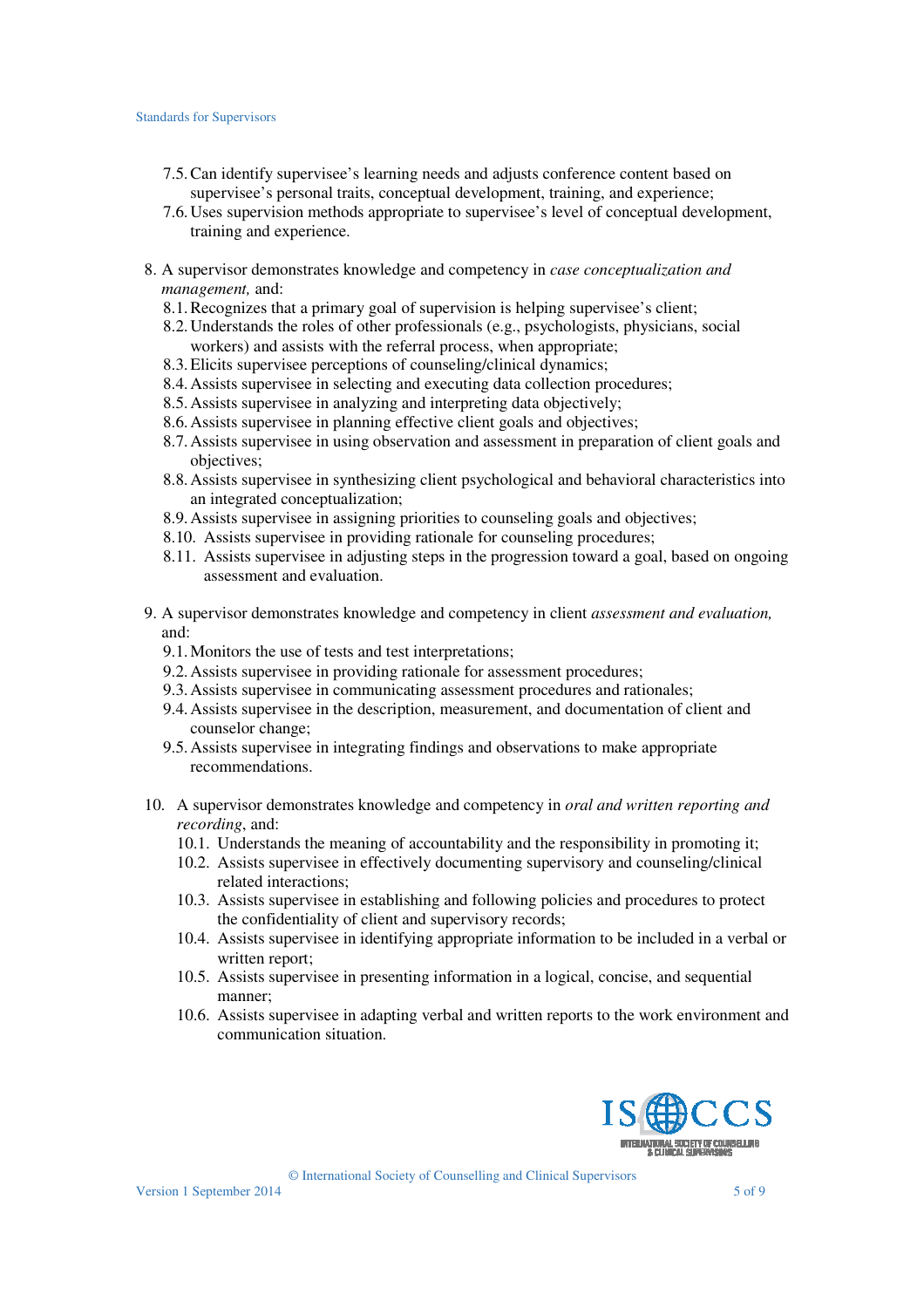- 7.5.Can identify supervisee's learning needs and adjusts conference content based on supervisee's personal traits, conceptual development, training, and experience;
- 7.6.Uses supervision methods appropriate to supervisee's level of conceptual development, training and experience.
- 8. A supervisor demonstrates knowledge and competency in *case conceptualization and management,* and:
	- 8.1.Recognizes that a primary goal of supervision is helping supervisee's client;
	- 8.2.Understands the roles of other professionals (e.g., psychologists, physicians, social workers) and assists with the referral process, when appropriate;
	- 8.3.Elicits supervisee perceptions of counseling/clinical dynamics;
	- 8.4.Assists supervisee in selecting and executing data collection procedures;
	- 8.5.Assists supervisee in analyzing and interpreting data objectively;
	- 8.6.Assists supervisee in planning effective client goals and objectives;
	- 8.7.Assists supervisee in using observation and assessment in preparation of client goals and objectives;
	- 8.8.Assists supervisee in synthesizing client psychological and behavioral characteristics into an integrated conceptualization;
	- 8.9.Assists supervisee in assigning priorities to counseling goals and objectives;
	- 8.10. Assists supervisee in providing rationale for counseling procedures;
	- 8.11. Assists supervisee in adjusting steps in the progression toward a goal, based on ongoing assessment and evaluation.
- 9. A supervisor demonstrates knowledge and competency in client *assessment and evaluation,*  and:
	- 9.1.Monitors the use of tests and test interpretations;
	- 9.2.Assists supervisee in providing rationale for assessment procedures;
	- 9.3.Assists supervisee in communicating assessment procedures and rationales;
	- 9.4.Assists supervisee in the description, measurement, and documentation of client and counselor change;
	- 9.5.Assists supervisee in integrating findings and observations to make appropriate recommendations.
- 10. A supervisor demonstrates knowledge and competency in *oral and written reporting and recording*, and:
	- 10.1. Understands the meaning of accountability and the responsibility in promoting it;
	- 10.2. Assists supervisee in effectively documenting supervisory and counseling/clinical related interactions;
	- 10.3. Assists supervisee in establishing and following policies and procedures to protect the confidentiality of client and supervisory records;
	- 10.4. Assists supervisee in identifying appropriate information to be included in a verbal or written report;
	- 10.5. Assists supervisee in presenting information in a logical, concise, and sequential manner;
	- 10.6. Assists supervisee in adapting verbal and written reports to the work environment and communication situation.

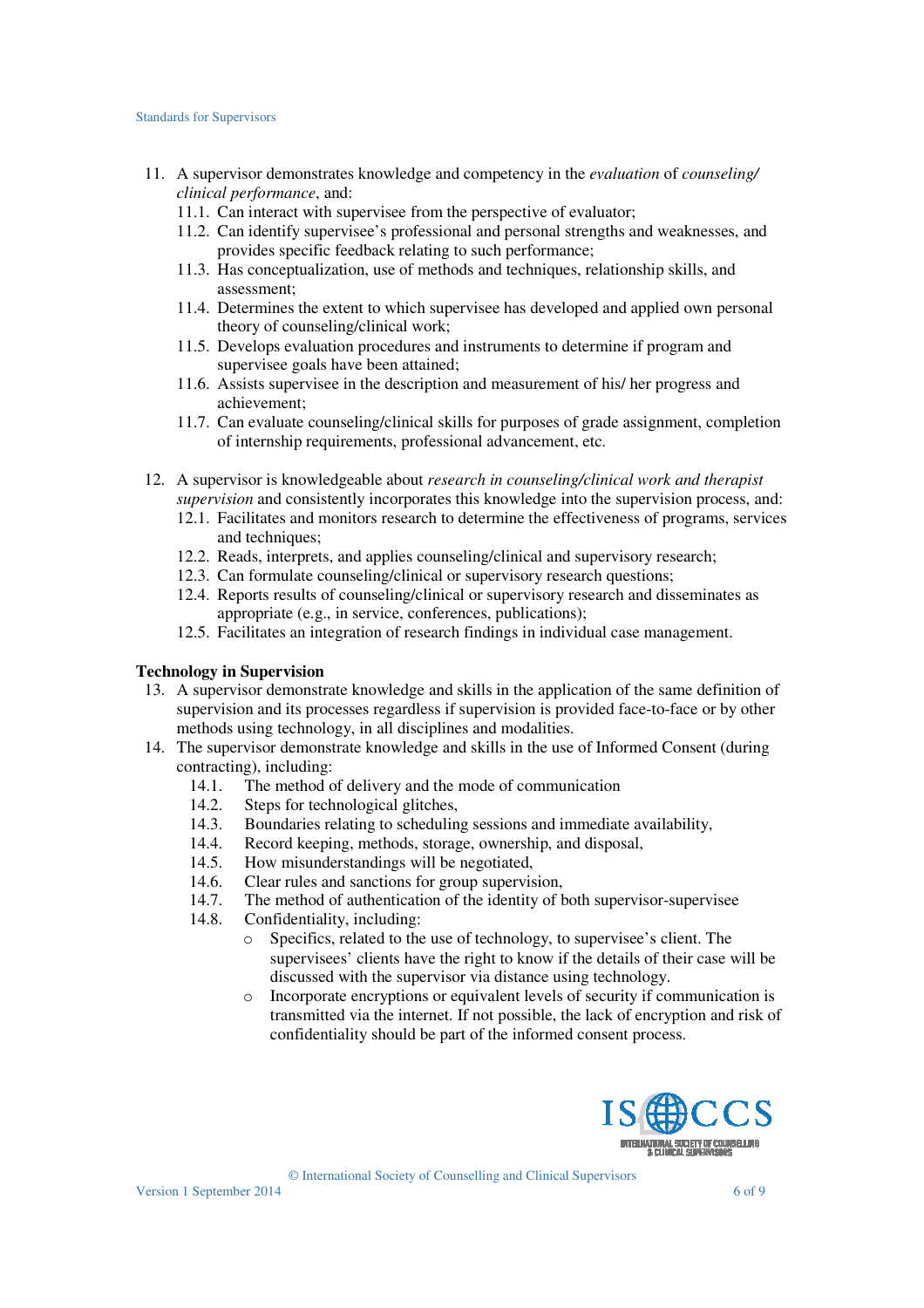- 11. A supervisor demonstrates knowledge and competency in the *evaluation* of *counseling/ clinical performance*, and:
	- 11.1. Can interact with supervisee from the perspective of evaluator;
	- 11.2. Can identify supervisee's professional and personal strengths and weaknesses, and provides specific feedback relating to such performance;
	- 11.3. Has conceptualization, use of methods and techniques, relationship skills, and assessment;
	- 11.4. Determines the extent to which supervisee has developed and applied own personal theory of counseling/clinical work;
	- 11.5. Develops evaluation procedures and instruments to determine if program and supervisee goals have been attained;
	- 11.6. Assists supervisee in the description and measurement of his/ her progress and achievement;
	- 11.7. Can evaluate counseling/clinical skills for purposes of grade assignment, completion of internship requirements, professional advancement, etc.
- 12. A supervisor is knowledgeable about *research in counseling/clinical work and therapist supervision* and consistently incorporates this knowledge into the supervision process, and:
	- 12.1. Facilitates and monitors research to determine the effectiveness of programs, services and techniques:
	- 12.2. Reads, interprets, and applies counseling/clinical and supervisory research;
	- 12.3. Can formulate counseling/clinical or supervisory research questions;
	- 12.4. Reports results of counseling/clinical or supervisory research and disseminates as appropriate (e.g., in service, conferences, publications);
	- 12.5. Facilitates an integration of research findings in individual case management.

#### **Technology in Supervision**

- 13. A supervisor demonstrate knowledge and skills in the application of the same definition of supervision and its processes regardless if supervision is provided face-to-face or by other methods using technology, in all disciplines and modalities.
- 14. The supervisor demonstrate knowledge and skills in the use of Informed Consent (during contracting), including:
	- 14.1. The method of delivery and the mode of communication
	- 14.2. Steps for technological glitches,
	- 14.3. Boundaries relating to scheduling sessions and immediate availability,
	- 14.4. Record keeping, methods, storage, ownership, and disposal,
	- 14.5. How misunderstandings will be negotiated,
	- 14.6. Clear rules and sanctions for group supervision,
	- 14.7. The method of authentication of the identity of both supervisor-supervisee
	- 14.8. Confidentiality, including:
		- o Specifics, related to the use of technology, to supervisee's client. The supervisees' clients have the right to know if the details of their case will be discussed with the supervisor via distance using technology.
		- o Incorporate encryptions or equivalent levels of security if communication is transmitted via the internet. If not possible, the lack of encryption and risk of confidentiality should be part of the informed consent process.

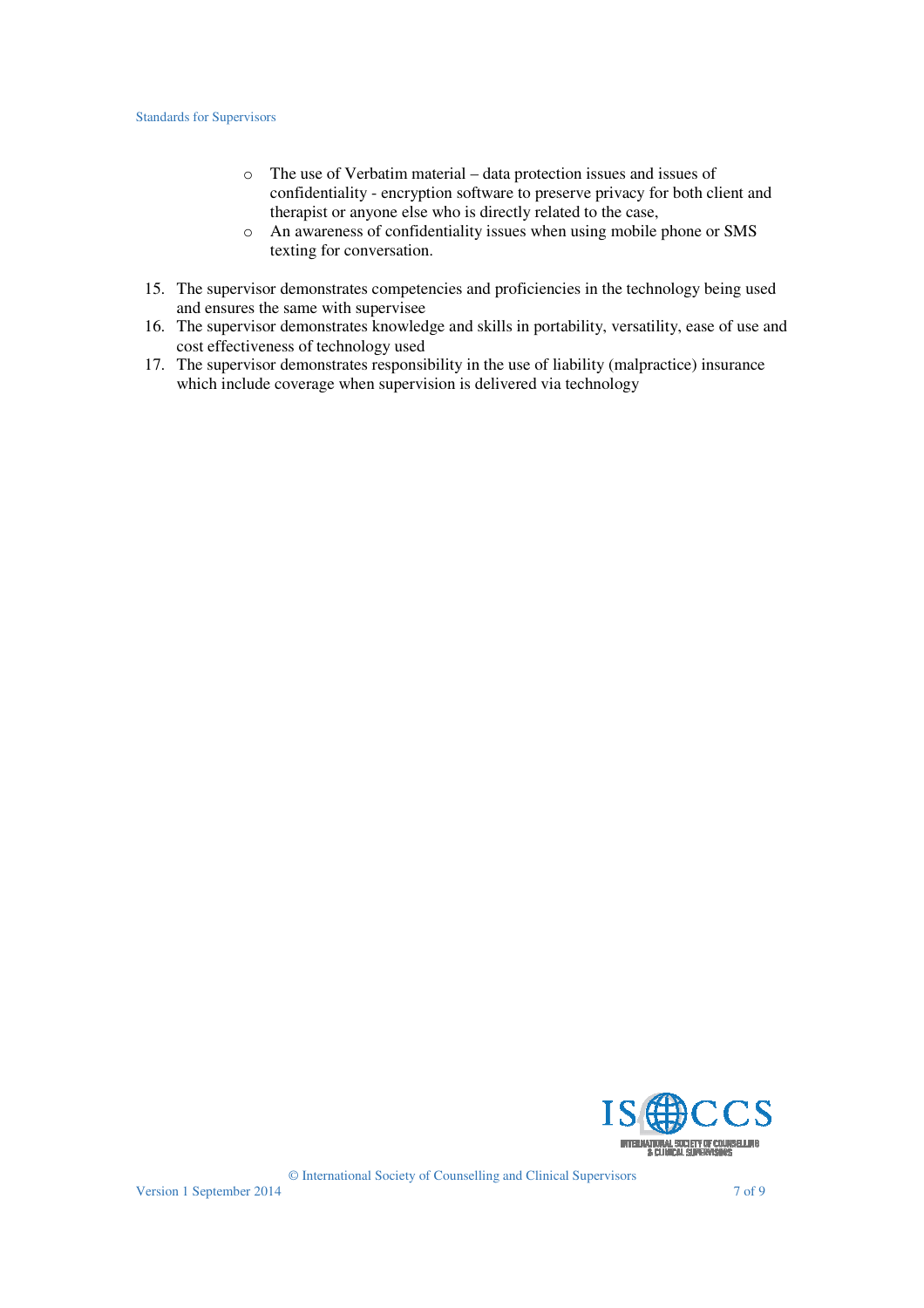- o The use of Verbatim material data protection issues and issues of confidentiality - encryption software to preserve privacy for both client and therapist or anyone else who is directly related to the case,
- o An awareness of confidentiality issues when using mobile phone or SMS texting for conversation.
- 15. The supervisor demonstrates competencies and proficiencies in the technology being used and ensures the same with supervisee
- 16. The supervisor demonstrates knowledge and skills in portability, versatility, ease of use and cost effectiveness of technology used
- 17. The supervisor demonstrates responsibility in the use of liability (malpractice) insurance which include coverage when supervision is delivered via technology

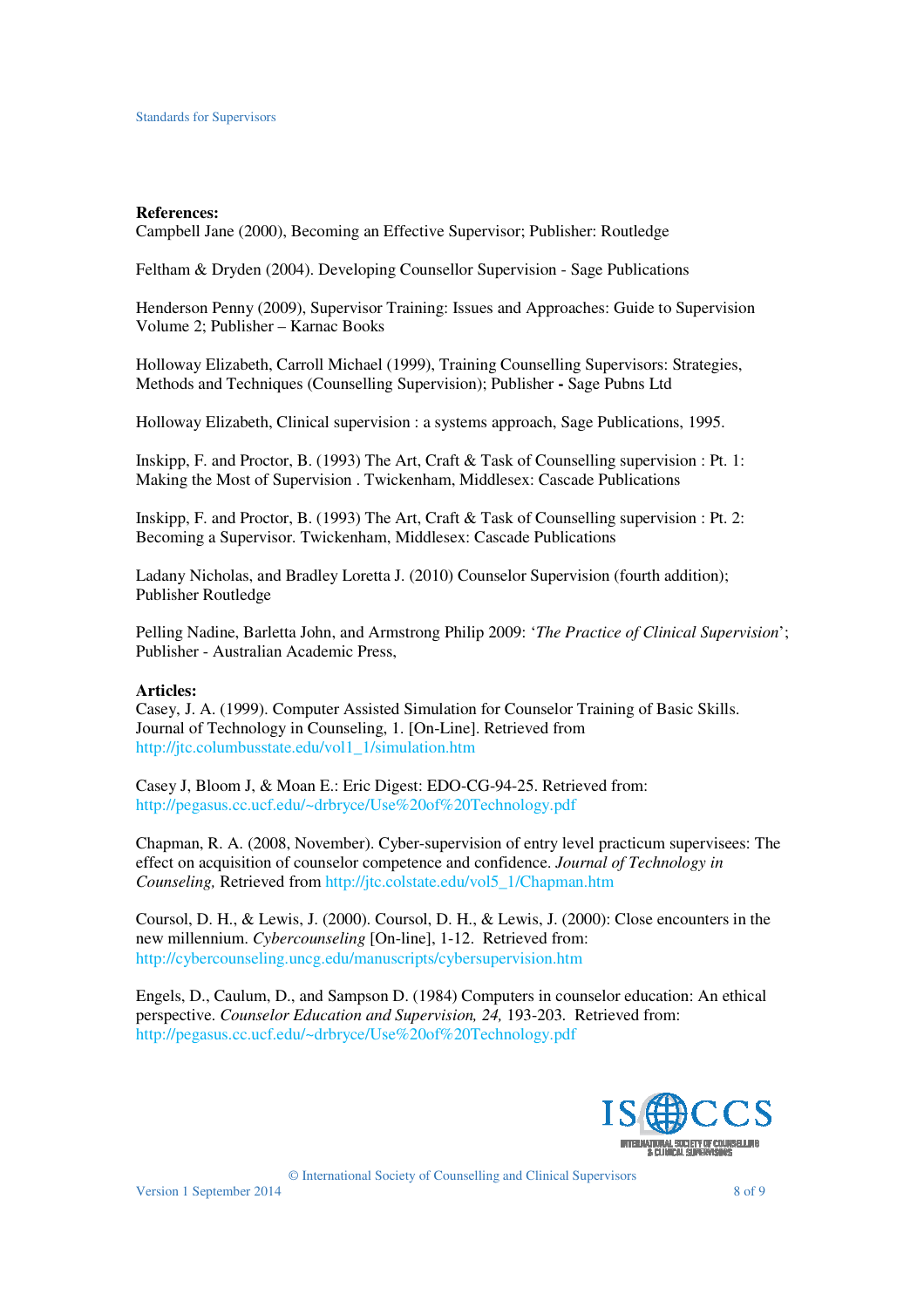#### **References:**

Campbell Jane (2000), Becoming an Effective Supervisor; Publisher: Routledge

Feltham & Dryden (2004). Developing Counsellor Supervision - Sage Publications

Henderson Penny (2009), Supervisor Training: Issues and Approaches: Guide to Supervision Volume 2; Publisher – Karnac Books

Holloway Elizabeth, Carroll Michael (1999), Training Counselling Supervisors: Strategies, Methods and Techniques (Counselling Supervision); Publisher **-** Sage Pubns Ltd

Holloway Elizabeth, Clinical supervision : a systems approach, Sage Publications, 1995.

Inskipp, F. and Proctor, B. (1993) The Art, Craft & Task of Counselling supervision : Pt. 1: Making the Most of Supervision . Twickenham, Middlesex: Cascade Publications

Inskipp, F. and Proctor, B. (1993) The Art, Craft & Task of Counselling supervision : Pt. 2: Becoming a Supervisor. Twickenham, Middlesex: Cascade Publications

Ladany Nicholas, and Bradley Loretta J. (2010) Counselor Supervision (fourth addition); Publisher Routledge

Pelling Nadine, Barletta John, and Armstrong Philip 2009: '*The Practice of Clinical Supervision*'; Publisher - Australian Academic Press,

### **Articles:**

Casey, J. A. (1999). Computer Assisted Simulation for Counselor Training of Basic Skills. Journal of Technology in Counseling, 1. [On-Line]. Retrieved from http://jtc.columbusstate.edu/vol1\_1/simulation.htm

Casey J, Bloom J, & Moan E.: Eric Digest: EDO-CG-94-25. Retrieved from: http://pegasus.cc.ucf.edu/~drbryce/Use%20of%20Technology.pdf

Chapman, R. A. (2008, November). Cyber-supervision of entry level practicum supervisees: The effect on acquisition of counselor competence and confidence. *Journal of Technology in Counseling,* Retrieved from http://jtc.colstate.edu/vol5\_1/Chapman.htm

Coursol, D. H., & Lewis, J. (2000). Coursol, D. H., & Lewis, J. (2000): Close encounters in the new millennium. *Cybercounseling* [On-line], 1-12. Retrieved from: http://cybercounseling.uncg.edu/manuscripts/cybersupervision.htm

Engels, D., Caulum, D., and Sampson D. (1984) Computers in counselor education: An ethical perspective. *Counselor Education and Supervision, 24,* 193-203. Retrieved from: http://pegasus.cc.ucf.edu/~drbryce/Use%20of%20Technology.pdf